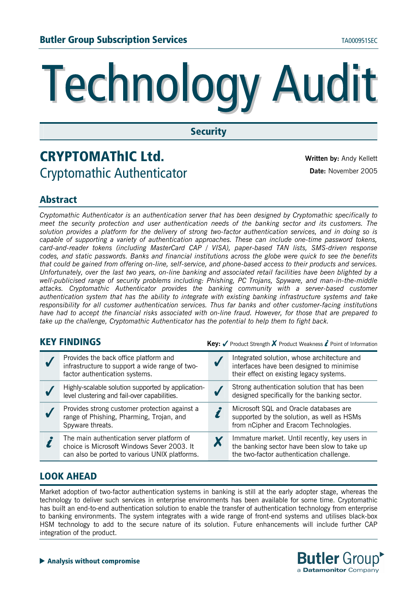# **Technology Audit**

### **Security**

# **CRYPTOMAThIC Ltd. Written by:** Andy Kellett Cryptomathic Authenticator **Date:** November 2005

## **Abstract**

*Cryptomathic Authenticator is an authentication server that has been designed by Cryptomathic specifically to meet the security protection and user authentication needs of the banking sector and its customers. The solution provides a platform for the delivery of strong two-factor authentication services, and in doing so is capable of supporting a variety of authentication approaches. These can include one-time password tokens, card-and-reader tokens (including MasterCard CAP / VISA), paper-based TAN lists, SMS-driven response codes, and static passwords. Banks and financial institutions across the globe were quick to see the benefits that could be gained from offering on-line, self-service, and phone-based access to their products and services. Unfortunately, over the last two years, on-line banking and associated retail facilities have been blighted by a well-publicised range of security problems including: Phishing, PC Trojans, Spyware, and man-in-the-middle attacks. Cryptomathic Authenticator provides the banking community with a server-based customer authentication system that has the ability to integrate with existing banking infrastructure systems and take responsibility for all customer authentication services. Thus far banks and other customer-facing institutions have had to accept the financial risks associated with on-line fraud. However, for those that are prepared to take up the challenge, Cryptomathic Authenticator has the potential to help them to fight back.* 

**KEY FINDINGS KEY FINDINGS Key:** √ Product Strength **X** Product Weakness *i* Point of Information

| Provides the back office platform and<br>infrastructure to support a wide range of two-<br>factor authentication systems.                 | Integrated solution, whose architecture and<br>interfaces have been designed to minimise<br>their effect on existing legacy systems.      |
|-------------------------------------------------------------------------------------------------------------------------------------------|-------------------------------------------------------------------------------------------------------------------------------------------|
| Highly-scalable solution supported by application-<br>level clustering and fail-over capabilities.                                        | Strong authentication solution that has been<br>designed specifically for the banking sector.                                             |
| Provides strong customer protection against a<br>range of Phishing, Pharming, Trojan, and<br>Spyware threats.                             | Microsoft SQL and Oracle databases are<br>supported by the solution, as well as HSMs<br>from nCipher and Eracom Technologies.             |
| The main authentication server platform of<br>choice is Microsoft Windows Sever 2003. It<br>can also be ported to various UNIX platforms. | Immature market. Until recently, key users in<br>the banking sector have been slow to take up<br>the two-factor authentication challenge. |

### **LOOK AHEAD**

Market adoption of two-factor authentication systems in banking is still at the early adopter stage, whereas the technology to deliver such services in enterprise environments has been available for some time. Cryptomathic has built an end-to-end authentication solution to enable the transfer of authentication technology from enterprise to banking environments. The system integrates with a wide range of front-end systems and utilises black-box HSM technology to add to the secure nature of its solution. Future enhancements will include further CAP integration of the product.

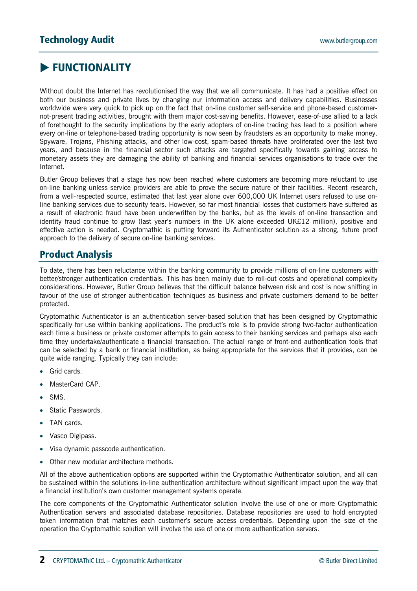# **EUNCTIONALITY**

Without doubt the Internet has revolutionised the way that we all communicate. It has had a positive effect on both our business and private lives by changing our information access and delivery capabilities. Businesses worldwide were very quick to pick up on the fact that on-line customer self-service and phone-based customernot-present trading activities, brought with them major cost-saving benefits. However, ease-of-use allied to a lack of forethought to the security implications by the early adopters of on-line trading has lead to a position where every on-line or telephone-based trading opportunity is now seen by fraudsters as an opportunity to make money. Spyware, Trojans, Phishing attacks, and other low-cost, spam-based threats have proliferated over the last two years, and because in the financial sector such attacks are targeted specifically towards gaining access to monetary assets they are damaging the ability of banking and financial services organisations to trade over the Internet.

Butler Group believes that a stage has now been reached where customers are becoming more reluctant to use on-line banking unless service providers are able to prove the secure nature of their facilities. Recent research, from a well-respected source, estimated that last year alone over 600,000 UK Internet users refused to use online banking services due to security fears. However, so far most financial losses that customers have suffered as a result of electronic fraud have been underwritten by the banks, but as the levels of on-line transaction and identity fraud continue to grow (last year's numbers in the UK alone exceeded UK£12 million), positive and effective action is needed. Cryptomathic is putting forward its Authenticator solution as a strong, future proof approach to the delivery of secure on-line banking services.

#### **Product Analysis**

To date, there has been reluctance within the banking community to provide millions of on-line customers with better/stronger authentication credentials. This has been mainly due to roll-out costs and operational complexity considerations. However, Butler Group believes that the difficult balance between risk and cost is now shifting in favour of the use of stronger authentication techniques as business and private customers demand to be better protected.

Cryptomathic Authenticator is an authentication server-based solution that has been designed by Cryptomathic specifically for use within banking applications. The product's role is to provide strong two-factor authentication each time a business or private customer attempts to gain access to their banking services and perhaps also each time they undertake/authenticate a financial transaction. The actual range of front-end authentication tools that can be selected by a bank or financial institution, as being appropriate for the services that it provides, can be quite wide ranging. Typically they can include:

- Grid cards.
- MasterCard CAP.
- SMS.
- Static Passwords.
- TAN cards.
- Vasco Digipass.
- Visa dynamic passcode authentication.
- Other new modular architecture methods.

All of the above authentication options are supported within the Cryptomathic Authenticator solution, and all can be sustained within the solutions in-line authentication architecture without significant impact upon the way that a financial institution's own customer management systems operate.

The core components of the Cryptomathic Authenticator solution involve the use of one or more Cryptomathic Authentication servers and associated database repositories. Database repositories are used to hold encrypted token information that matches each customer's secure access credentials. Depending upon the size of the operation the Cryptomathic solution will involve the use of one or more authentication servers.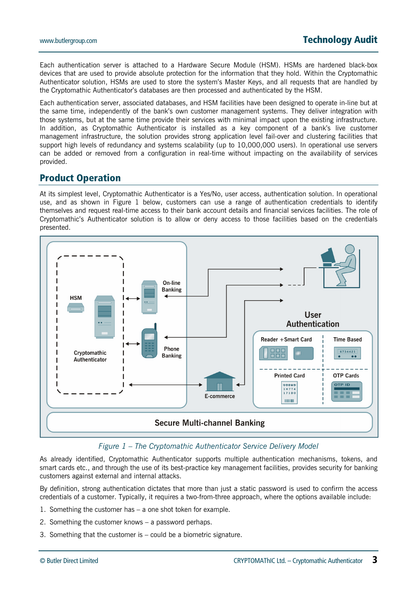Each authentication server is attached to a Hardware Secure Module (HSM). HSMs are hardened black-box devices that are used to provide absolute protection for the information that they hold. Within the Cryptomathic Authenticator solution, HSMs are used to store the system's Master Keys, and all requests that are handled by the Cryptomathic Authenticator's databases are then processed and authenticated by the HSM.

Each authentication server, associated databases, and HSM facilities have been designed to operate in-line but at the same time, independently of the bank's own customer management systems. They deliver integration with those systems, but at the same time provide their services with minimal impact upon the existing infrastructure. In addition, as Cryptomathic Authenticator is installed as a key component of a bank's live customer management infrastructure, the solution provides strong application level fail-over and clustering facilities that support high levels of redundancy and systems scalability (up to 10,000,000 users). In operational use servers can be added or removed from a configuration in real-time without impacting on the availability of services provided.

#### **Product Operation**

At its simplest level, Cryptomathic Authenticator is a Yes/No, user access, authentication solution. In operational use, and as shown in Figure 1 below, customers can use a range of authentication credentials to identify themselves and request real-time access to their bank account details and financial services facilities. The role of Cryptomathic's Authenticator solution is to allow or deny access to those facilities based on the credentials presented.



#### *Figure 1 – The Cryptomathic Authenticator Service Delivery Model*

As already identified, Cryptomathic Authenticator supports multiple authentication mechanisms, tokens, and smart cards etc., and through the use of its best-practice key management facilities, provides security for banking customers against external and internal attacks.

By definition, strong authentication dictates that more than just a static password is used to confirm the access credentials of a customer. Typically, it requires a two-from-three approach, where the options available include:

- 1. Something the customer has a one shot token for example.
- 2. Something the customer knows a password perhaps.
- 3. Something that the customer is could be a biometric signature.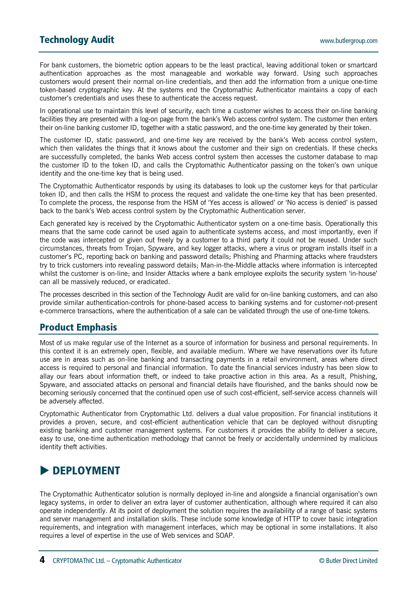For bank customers, the biometric option appears to be the least practical, leaving additional token or smartcard authentication approaches as the most manageable and workable way forward. Using such approaches customers would present their normal on-line credentials, and then add the information from a unique one-time token-based cryptographic key. At the systems end the Cryptomathic Authenticator maintains a copy of each customer's credentials and uses these to authenticate the access request.

In operational use to maintain this level of security, each time a customer wishes to access their on-line banking facilities they are presented with a log-on page from the bank's Web access control system. The customer then enters their on-line banking customer ID, together with a static password, and the one-time key generated by their token.

The customer ID, static password, and one-time key are received by the bank's Web access control system, which then validates the things that it knows about the customer and their sign on credentials. If these checks are successfully completed, the banks Web access control system then accesses the customer database to map the customer ID to the token ID, and calls the Cryptomathic Authenticator passing on the token's own unique identity and the one-time key that is being used.

The Cryptomathic Authenticator responds by using its databases to look up the customer keys for that particular token ID, and then calls the HSM to process the request and validate the one-time key that has been presented. To complete the process, the response from the HSM of 'Yes access is allowed' or 'No access is denied' is passed back to the bank's Web access control system by the Cryptomathic Authentication server.

Each generated key is received by the Cryptomathic Authenticator system on a one-time basis. Operationally this means that the same code cannot be used again to authenticate systems access, and most importantly, even if the code was intercepted or given out freely by a customer to a third party it could not be reused. Under such circumstances, threats from Trojan, Spyware, and key logger attacks, where a virus or program installs itself in a customer's PC, reporting back on banking and password details; Phishing and Pharming attacks where fraudsters try to trick customers into revealing password details; Man-in-the-Middle attacks where information is intercepted whilst the customer is on-line; and Insider Attacks where a bank employee exploits the security system 'in-house' can all be massively reduced, or eradicated.

The processes described in this section of the Technology Audit are valid for on-line banking customers, and can also provide similar authentication-controls for phone-based access to banking systems and for customer-not-present e-commerce transactions, where the authentication of a sale can be validated through the use of one-time tokens.

#### **Product Emphasis**

Most of us make regular use of the Internet as a source of information for business and personal requirements. In this context it is an extremely open, flexible, and available medium. Where we have reservations over its future use are in areas such as on-line banking and transacting payments in a retail environment, areas where direct access is required to personal and financial information. To date the financial services industry has been slow to allay our fears about information theft, or indeed to take proactive action in this area. As a result, Phishing, Spyware, and associated attacks on personal and financial details have flourished, and the banks should now be becoming seriously concerned that the continued open use of such cost-efficient, self-service access channels will be adversely affected.

Cryptomathic Authenticator from Cryptomathic Ltd. delivers a dual value proposition. For financial institutions it provides a proven, secure, and cost-efficient authentication vehicle that can be deployed without disrupting existing banking and customer management systems. For customers it provides the ability to deliver a secure, easy to use, one-time authentication methodology that cannot be freely or accidentally undermined by malicious identity theft activities.

# **EPLOYMENT**

The Cryptomathic Authenticator solution is normally deployed in-line and alongside a financial organisation's own legacy systems, in order to deliver an extra layer of customer authentication, although where required it can also operate independently. At its point of deployment the solution requires the availability of a range of basic systems and server management and installation skills. These include some knowledge of HTTP to cover basic integration requirements, and integration with management interfaces, which may be optional in some installations. It also requires a level of expertise in the use of Web services and SOAP.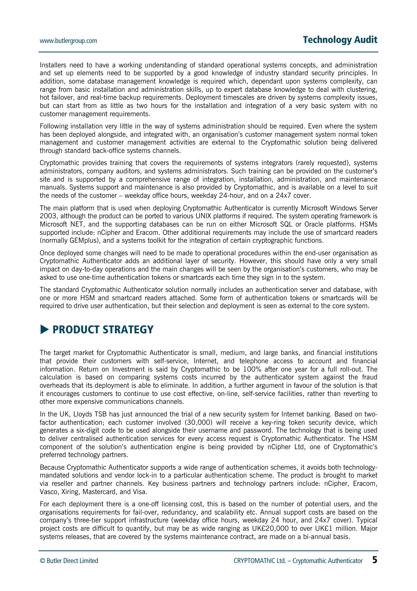Installers need to have a working understanding of standard operational systems concepts, and administration and set up elements need to be supported by a good knowledge of industry standard security principles. In addition, some database management knowledge is required which, dependant upon systems complexity, can range from basic installation and administration skills, up to expert database knowledge to deal with clustering, hot failover, and real-time backup requirements. Deployment timescales are driven by systems complexity issues, but can start from as little as two hours for the installation and integration of a very basic system with no customer management requirements.

Following installation very little in the way of systems administration should be required. Even where the system has been deployed alongside, and integrated with, an organisation's customer management system normal token management and customer management activities are external to the Cryptomathic solution being delivered through standard back-office systems channels.

Cryptomathic provides training that covers the requirements of systems integrators (rarely requested), systems administrators, company auditors, and systems administrators. Such training can be provided on the customer's site and is supported by a comprehensive range of integration, installation, administration, and maintenance manuals. Systems support and maintenance is also provided by Cryptomathic, and is available on a level to suit the needs of the customer – weekday office hours, weekday 24-hour, and on a 24x7 cover.

The main platform that is used when deploying Cryptomathic Authenticator is currently Microsoft Windows Server 2003, although the product can be ported to various UNIX platforms if required. The system operating framework is Microsoft NET, and the supporting databases can be run on either Microsoft SQL or Oracle platforms. HSMs supported include: nCipher and Eracom. Other additional requirements may include the use of smartcard readers (normally GEMplus), and a systems toolkit for the integration of certain cryptographic functions.

Once deployed some changes will need to be made to operational procedures within the end-user organisation as Cryptomathic Authenticator adds an additional layer of security. However, this should have only a very small impact on day-to-day operations and the main changes will be seen by the organisation's customers, who may be asked to use one-time authentication tokens or smartcards each time they sign in to the system.

The standard Cryptomathic Authenticator solution normally includes an authentication server and database, with one or more HSM and smartcard readers attached. Some form of authentication tokens or smartcards will be required to drive user authentication, but their selection and deployment is seen as external to the core system.

# **EXPRODUCT STRATEGY**

The target market for Cryptomathic Authenticator is small, medium, and large banks, and financial institutions that provide their customers with self-service, Internet, and telephone access to account and financial information. Return on Investment is said by Cryptomathic to be 100% after one year for a full roll-out. The calculation is based on comparing systems costs incurred by the authenticator system against the fraud overheads that its deployment is able to eliminate. In addition, a further argument in favour of the solution is that it encourages customers to continue to use cost effective, on-line, self-service facilities, rather than reverting to other more expensive communications channels.

In the UK, Lloyds TSB has just announced the trial of a new security system for Internet banking. Based on twofactor authentication; each customer involved (30,000) will receive a key-ring token security device, which generates a six-digit code to be used alongside their username and password. The technology that is being used to deliver centralised authentication services for every access request is Cryptomathic Authenticator. The HSM component of the solution's authentication engine is being provided by nCipher Ltd, one of Cryptomathic's preferred technology partners.

Because Cryptomathic Authenticator supports a wide range of authentication schemes, it avoids both technologymandated solutions and vendor lock-in to a particular authentication scheme. The product is brought to market via reseller and partner channels. Key business partners and technology partners include: nCipher, Eracom, Vasco, Xiring, Mastercard, and Visa.

For each deployment there is a one-off licensing cost, this is based on the number of potential users, and the organisations requirements for fail-over, redundancy, and scalability etc. Annual support costs are based on the company's three-tier support infrastructure (weekday office hours, weekday 24 hour, and 24x7 cover). Typical project costs are difficult to quantify, but may be as wide ranging as UK£20,000 to over UK£1 million. Major systems releases, that are covered by the systems maintenance contract, are made on a bi-annual basis.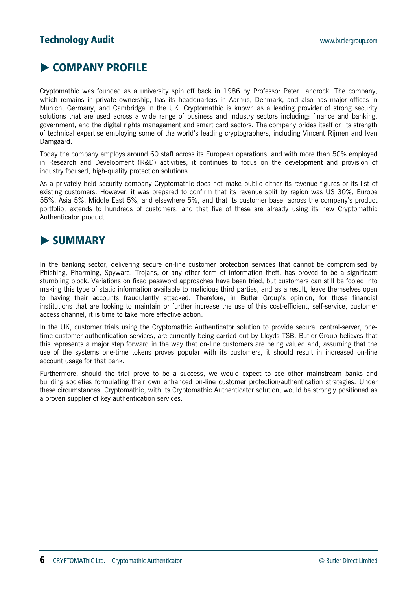# **EXAMPANY PROFILE**

Cryptomathic was founded as a university spin off back in 1986 by Professor Peter Landrock. The company, which remains in private ownership, has its headquarters in Aarhus, Denmark, and also has major offices in Munich, Germany, and Cambridge in the UK. Cryptomathic is known as a leading provider of strong security solutions that are used across a wide range of business and industry sectors including: finance and banking, government, and the digital rights management and smart card sectors. The company prides itself on its strength of technical expertise employing some of the world's leading cryptographers, including Vincent Rijmen and Ivan Damgaard.

Today the company employs around 60 staff across its European operations, and with more than 50% employed in Research and Development (R&D) activities, it continues to focus on the development and provision of industry focused, high-quality protection solutions.

As a privately held security company Cryptomathic does not make public either its revenue figures or its list of existing customers. However, it was prepared to confirm that its revenue split by region was US 30%, Europe 55%, Asia 5%, Middle East 5%, and elsewhere 5%, and that its customer base, across the company's product portfolio, extends to hundreds of customers, and that five of these are already using its new Cryptomathic Authenticator product.

# $\blacktriangleright$  **SUMMARY**

In the banking sector, delivering secure on-line customer protection services that cannot be compromised by Phishing, Pharming, Spyware, Trojans, or any other form of information theft, has proved to be a significant stumbling block. Variations on fixed password approaches have been tried, but customers can still be fooled into making this type of static information available to malicious third parties, and as a result, leave themselves open to having their accounts fraudulently attacked. Therefore, in Butler Group's opinion, for those financial institutions that are looking to maintain or further increase the use of this cost-efficient, self-service, customer access channel, it is time to take more effective action.

In the UK, customer trials using the Cryptomathic Authenticator solution to provide secure, central-server, onetime customer authentication services, are currently being carried out by Lloyds TSB. Butler Group believes that this represents a major step forward in the way that on-line customers are being valued and, assuming that the use of the systems one-time tokens proves popular with its customers, it should result in increased on-line account usage for that bank.

Furthermore, should the trial prove to be a success, we would expect to see other mainstream banks and building societies formulating their own enhanced on-line customer protection/authentication strategies. Under these circumstances, Cryptomathic, with its Cryptomathic Authenticator solution, would be strongly positioned as a proven supplier of key authentication services.